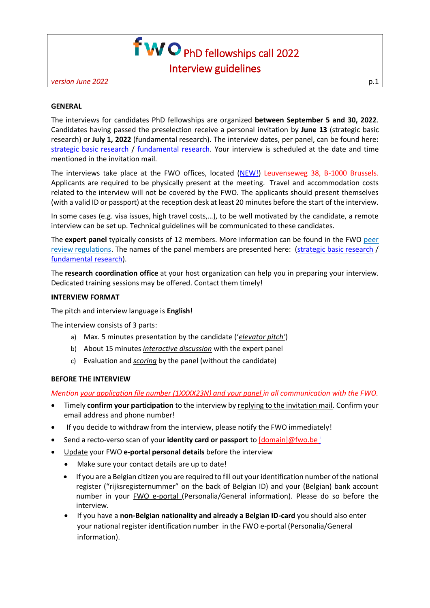# f **WO** PhD fellowships call 2022 Interview guidelines

*version June 2022* p.1

#### **GENERAL**

The interviews for candidates PhD fellowships are organized **between September 5 and 30, 2022**. Candidates having passed the preselection receive a personal invitation by **June 13** (strategic basic research) or **July 1, 2022** (fundamental research). The interview dates, per panel, can be found here: [strategic basic research](https://www.fwo.be/media/1024805/paneldata-interview-aspiranten-strategisch-basisonderzoek.pdf) / [fundamental research.](https://www.fwo.be/media/1024806/paneldata-interview-aspiranten-fundamenteel-onderzoek.pdf) Your interview is scheduled at the date and time mentioned in the invitation mail.

The interviews take place at the FWO offices, located [\(NEW!\)](https://www.fwo.be/en/contact/address-and-directions/) Leuvenseweg 38, B-1000 Brussels. Applicants are required to be physically present at the meeting. Travel and accommodation costs related to the interview will not be covered by the FWO. The applicants should present themselves (with a valid ID or passport) at the reception desk at least 20 minutes before the start of the interview.

In some cases (e.g. visa issues, high travel costs,…), to be well motivated by the candidate, a remote interview can be set up. Technical guidelines will be communicated to these candidates.

The **expert panel** typically consists of 12 members. More information can be found in the FWO [peer](http://www.fwo.be/en/the-fwo/organisation/fwo-expertpanels/regulations-fwo-internal-and-external-peer-review/)  [review regulations.](http://www.fwo.be/en/the-fwo/organisation/fwo-expertpanels/regulations-fwo-internal-and-external-peer-review/) The names of the panel members are presented here: [\(strategic basic research](https://www.fwo.be/en/the-fwo/organisation/fwo-expertpanels/panels-strategic-basic-research/) / [fundamental research\)](https://www.fwo.be/en/the-fwo/organisation/fwo-expertpanels/panels-fundamental-research/).

The **research coordination office** at your host organization can help you in preparing your interview. Dedicated training sessions may be offered. Contact them timely!

#### **INTERVIEW FORMAT**

The pitch and interview language is **English**!

The interview consists of 3 parts:

- a) Max. 5 minutes presentation by the candidate ('*elevator pitch'*)
- b) About 15 minutes *interactive discussion* with the expert panel
- c) Evaluation and *scoring* by the panel (without the candidate)

#### **BEFORE THE INTERVIEW**

*Mention your application file number (1XXXX23N) and your panel in all communication with the FWO.*

- Timely **confirm your participation** to the interview by replying to the invitation mail. Confirm your email address and phone number!
- If you decide to withdraw from the interview, please notify the FWO immediately!
- Send a recto-verso scan of your **identity card or passport** to [domain]@fwo.be <sup>i</sup>
- Update your FWO **e-portal personal details** before the interview
	- Make sure your contact details are up to date!
	- If you are a Belgian citizen you are required to fill out your identification number of the national register ("rijksregisternummer" on the back of Belgian ID) and your (Belgian) bank account number in your FWO e-portal (Personalia/General information). Please do so before the interview.
	- If you have a **non-Belgian nationality and already a Belgian ID-card** you should also enter your national register identification number in the FWO e-portal (Personalia/General information).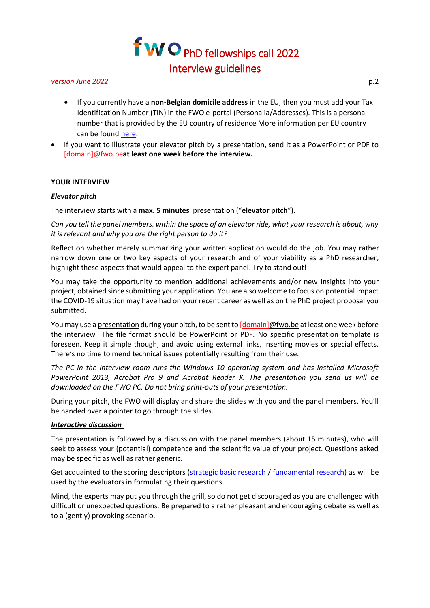# f **WO** PhD fellowships call 2022 Interview guidelines

*version June 2022* p.2

- If you currently have a **non-Belgian domicile address** in the EU, then you must add your Tax Identification Number (TIN) in the FWO e-portal (Personalia/Addresses). This is a personal number that is provided by the EU country of residence More information per EU country can be found [here.](https://ec.europa.eu/taxation_customs/tin/tinByCountry.html?locale=en)
- If you want to illustrate your elevator pitch by a presentation, send it as a PowerPoint or PDF to [domain]@fwo.be**at least one week before the interview.**

# **YOUR INTERVIEW**

# *Elevator pitch*

The interview starts with a **max. 5 minutes** presentation ("**elevator pitch**").

*Can you tell the panel members, within the space of an elevator ride, what your research is about, why it is relevant and why you are the right person to do it?* 

Reflect on whether merely summarizing your written application would do the job. You may rather narrow down one or two key aspects of your research and of your viability as a PhD researcher, highlight these aspects that would appeal to the expert panel. Try to stand out!

You may take the opportunity to mention additional achievements and/or new insights into your project, obtained since submitting your application. You are also welcome to focus on potential impact the COVID-19 situation may have had on your recent career as well as on the PhD project proposal you submitted.

You may use a presentation during your pitch, to be sent to [domain]@fwo.be at least one week before the interview The file format should be PowerPoint or PDF. No specific presentation template is foreseen. Keep it simple though, and avoid using external links, inserting movies or special effects. There's no time to mend technical issues potentially resulting from their use.

*The PC in the interview room runs the Windows 10 operating system and has installed Microsoft PowerPoint 2013, Acrobat Pro 9 and Acrobat Reader X. The presentation you send us will be downloaded on the FWO PC. Do not bring print-outs of your presentation.*

During your pitch, the FWO will display and share the slides with you and the panel members. You'll be handed over a pointer to go through the slides.

# *Interactive discussion*

The presentation is followed by a discussion with the panel members (about 15 minutes), who will seek to assess your (potential) competence and the scientific value of your project. Questions asked may be specific as well as rather generic.

Get acquainted to the scoring descriptors [\(strategic basic research](https://www.fwo.be/media/1024575/asp-sb22-interview-scoring-grids.pdf) / [fundamental research\)](https://www.fwo.be/media/1024572/asp-fo22-interview-scoring-grids.pdf) as will be used by the evaluators in formulating their questions.

Mind, the experts may put you through the grill, so do not get discouraged as you are challenged with difficult or unexpected questions. Be prepared to a rather pleasant and encouraging debate as well as to a (gently) provoking scenario.